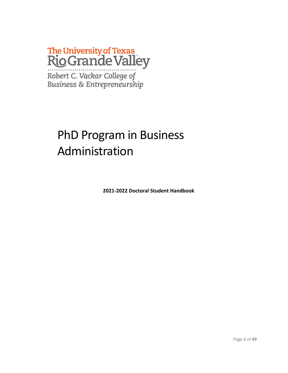# The University of Texas<br>Rio Grande Valley

Robert C. Vackar College of<br>Business & Entrepreneurship

## PhD Program in Business Administration

**2021-2022 Doctoral Student Handbook**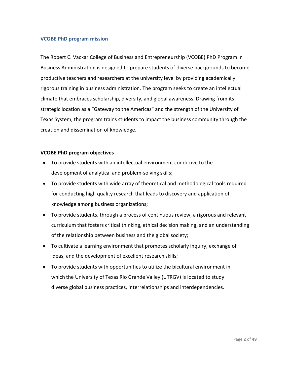#### **VCOBE PhD program mission**

The Robert C. Vackar College of Business and Entrepreneurship (VCOBE) PhD Program in Business Administration is designed to prepare students of diverse backgrounds to become productive teachers and researchers at the university level by providing academically rigorous training in business administration. The program seeks to create an intellectual climate that embraces scholarship, diversity, and global awareness. Drawing from its strategic location as a "Gateway to the Americas" and the strength of the University of Texas System, the program trains students to impact the business community through the creation and dissemination of knowledge.

#### **VCOBE PhD program objectives**

- To provide students with an intellectual environment conducive to the development of analytical and problem-solving skills;
- To provide students with wide array of theoretical and methodological tools required for conducting high quality research that leads to discovery and application of knowledge among business organizations;
- To provide students, through a process of continuous review, a rigorous and relevant curriculum that fosters critical thinking, ethical decision making, and an understanding ofthe relationship between business and the global society;
- To cultivate a learning environment that promotes scholarly inquiry, exchange of ideas, and the development of excellent research skills;
- To provide students with opportunities to utilize the bicultural environment in which the University of Texas Rio Grande Valley (UTRGV) is located to study diverse global business practices, interrelationships and interdependencies.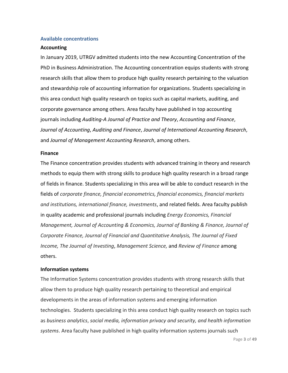#### **Available concentrations**

#### **Accounting**

In January 2019, UTRGV admitted students into the new Accounting Concentration of the PhD in Business Administration. The Accounting concentration equips students with strong research skills that allow them to produce high quality research pertaining to the valuation and stewardship role of accounting information for organizations. Students specializing in this area conduct high quality research on topics such as capital markets, auditing, and corporate governance among others. Area faculty have published in top accounting journals including *Auditing-A Journal of Practice and Theory*, *Accounting and Finance*, *Journal of Accounting*, *Auditing and Finance*, *Journal of International Accounting Research*, and *Journal of Management Accounting Research*, among others.

#### **Finance**

The Finance concentration provides students with advanced training in theory and research methods to equip them with strong skills to produce high quality research in a broad range of fields in finance. Students specializing in this area will be able to conduct research in the fields of *corporate finance, financial econometrics, financial economics, financial markets and institutions, international finance, investments*, and related fields. Area faculty publish in quality academic and professional journals including *Energy Economics, Financial Management, Journal of Accounting & Economics, Journal of Banking & Finance, Journal of Corporate Finance, Journal of Financial and Quantitative Analysis, The Journal of Fixed Income, The Journal of Investing*, *Management Science,* and *Review of Finance* among others.

#### **Information systems**

The Information Systems concentration provides students with strong research skills that allow them to produce high quality research pertaining to theoretical and empirical developments in the areas of information systems and emerging information technologies. Students specializing in this area conduct high quality research on topics such as *business analytics*, *social media, information privacy and security, and health information systems*. Area faculty have published in high quality information systems journals such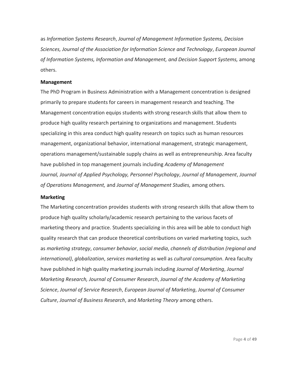as *Information Systems Research*, *Journal of Management Information Systems, Decision Sciences, Journal of the Association for Information Science and Technology*, *European Journal of Information Systems, Information and Management, and Decision Support Systems,* among others.

#### **Management**

The PhD Program in Business Administration with a Management concentration is designed primarily to prepare students for careers in management research and teaching. The Management concentration equips students with strong research skills that allow them to produce high quality research pertaining to organizations and management. Students specializing in this area conduct high quality research on topics such as human resources management, organizational behavior, international management, strategic management, operations management/sustainable supply chains as well as entrepreneurship. Area faculty have published in top management journals including *Academy of Management Journal, Journal of Applied Psychology, Personnel Psychology*, *Journal of Management*, *Journal of Operations Management,* and *Journal of Management Studies,* among others.

#### **Marketing**

The Marketing concentration provides students with strong research skills that allow them to produce high quality scholarly/academic research pertaining to the various facets of marketing theory and practice. Students specializing in this area will be able to conduct high quality research that can produce theoretical contributions on varied marketing topics, such as *marketing strategy*, *consumer behavior*, *social media*, *channels of distribution (regional and international)*, *globalization*, *services marketing* as well as *cultural consumption*. Area faculty have published in high quality marketing journals including *Journal of Marketing*, *Journal Marketing Research, Journal of Consumer Research*, *Journal of the Academy of Marketing Science*, *Journal of Service Research*, *European Journal of Marketing*, *Journal of Consumer Culture*, *Journal of Business Research*, and *Marketing Theory* among others.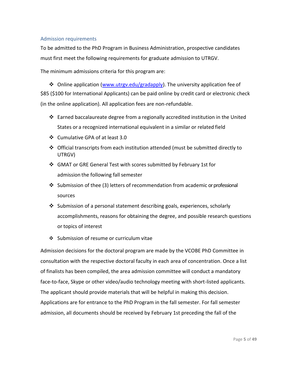#### Admission requirements

To be admitted to the PhD Program in Business Administration, prospective candidates must first meet the following requirements for graduate admission to UTRGV.

The minimum admissions criteria for this program are:

❖ Online application [\(www.utrgv.edu/gradapply\)](http://www.utrgv.edu/gradapply). The university application fee of \$85 (\$100 for International Applicants) can be paid online by credit card or electronic check (in the online application). All application fees are non-refundable.

- ❖ Earned baccalaureate degree from a regionally accredited institution in the United States or a recognized international equivalent in a similar or related field
- ❖ Cumulative GPA of at least 3.0
- ❖ Official transcripts from each institution attended (must be submitted directly to UTRGV)
- ❖ GMAT or GRE General Test with scores submitted by February 1st for admission the following fall semester
- ❖ Submission of thee (3) letters of recommendation from academic or professional sources
- ❖ Submission of a personal statement describing goals, experiences, scholarly accomplishments, reasons for obtaining the degree, and possible research questions or topics of interest
- ❖ Submission of resume or curriculum vitae

Admission decisions for the doctoral program are made by the VCOBE PhD Committee in consultation with the respective doctoral faculty in each area of concentration. Once a list of finalists has been compiled, the area admission committee will conduct a mandatory face-to-face, Skype or other video/audio technology meeting with short-listed applicants. The applicant should provide materials that will be helpful in making this decision. Applications are for entrance to the PhD Program in the fall semester. For fall semester admission, all documents should be received by February 1st preceding the fall of the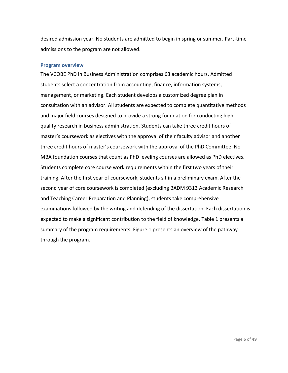desired admission year. No students are admitted to begin in spring or summer. Part-time admissions to the program are not allowed.

#### **Program overview**

The VCOBE PhD in Business Administration comprises 63 academic hours. Admitted students select a concentration from accounting, finance, information systems, management, or marketing. Each student develops a customized degree plan in consultation with an advisor. All students are expected to complete quantitative methods and major field courses designed to provide a strong foundation for conducting highquality research in business administration. Students can take three credit hours of master's coursework as electives with the approval of their faculty advisor and another three credit hours of master's coursework with the approval of the PhD Committee. No MBA foundation courses that count as PhD leveling courses are allowed as PhD electives. Students complete core course work requirements within the first two years of their training. After the first year of coursework, students sit in a preliminary exam. After the second year of core coursework is completed (excluding BADM 9313 Academic Research and Teaching Career Preparation and Planning), students take comprehensive examinations followed by the writing and defending of the dissertation. Each dissertation is expected to make a significant contribution to the field of knowledge. Table 1 presents a summary of the program requirements. Figure 1 presents an overview of the pathway through the program.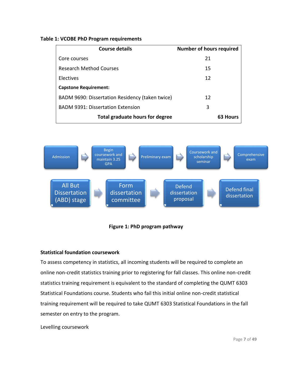#### **Table 1: VCOBE PhD Program requirements**

| <b>Course details</b>                           | <b>Number of hours required</b> |
|-------------------------------------------------|---------------------------------|
| Core courses                                    | 21                              |
| Research Method Courses                         | 15                              |
| Electives                                       | 12                              |
| <b>Capstone Requirement:</b>                    |                                 |
| BADM 9690: Dissertation Residency (taken twice) | 12                              |
| <b>BADM 9391: Dissertation Extension</b>        | 3                               |
| Total graduate hours for degree                 | 63 Hou                          |



#### **Figure 1: PhD program pathway**

#### **Statistical foundation coursework**

To assess competency in statistics, all incoming students will be required to complete an online non-credit statistics training prior to registering for fall classes. This online non-credit statistics training requirement is equivalent to the standard of completing the QUMT 6303 Statistical Foundations course. Students who fail this initial online non-credit statistical training requirement will be required to take QUMT 6303 Statistical Foundations in the fall semester on entry to the program.

Levelling coursework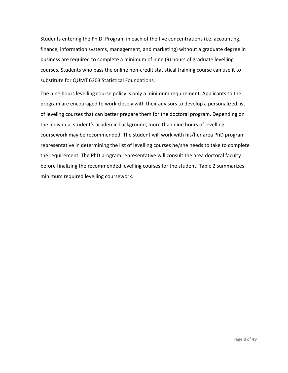Students entering the Ph.D. Program in each of the five concentrations (i.e. accounting, finance, information systems, management, and marketing) without a graduate degree in business are required to complete a minimum of nine (9) hours of graduate levelling courses. Students who pass the online non-credit statistical training course can use it to substitute for QUMT 6303 Statistical Foundations.

The nine hours levelling course policy is only a minimum requirement. Applicants to the program are encouraged to work closely with their advisors to develop a personalized list of leveling courses that can better prepare them for the doctoral program. Depending on the individual student's academic background, more than nine hours of levelling coursework may be recommended. The student will work with his/her area PhD program representative in determining the list of levelling courses he/she needs to take to complete the requirement. The PhD program representative will consult the area doctoral faculty before finalizing the recommended levelling courses for the student. Table 2 summarizes minimum required levelling coursework.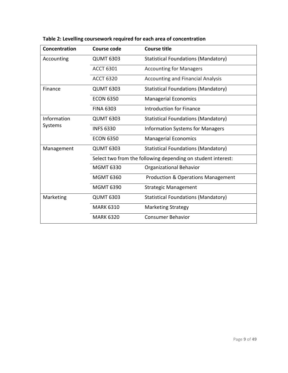| Concentration | <b>Course code</b> | <b>Course title</b>                                          |
|---------------|--------------------|--------------------------------------------------------------|
| Accounting    | <b>QUMT 6303</b>   | <b>Statistical Foundations (Mandatory)</b>                   |
|               | <b>ACCT 6301</b>   | <b>Accounting for Managers</b>                               |
|               | <b>ACCT 6320</b>   | <b>Accounting and Financial Analysis</b>                     |
| Finance       | <b>QUMT 6303</b>   | <b>Statistical Foundations (Mandatory)</b>                   |
|               | <b>ECON 6350</b>   | <b>Managerial Economics</b>                                  |
|               | <b>FINA 6303</b>   | <b>Introduction for Finance</b>                              |
| Information   | <b>QUMT 6303</b>   | <b>Statistical Foundations (Mandatory)</b>                   |
| Systems       | <b>INFS 6330</b>   | <b>Information Systems for Managers</b>                      |
|               | <b>ECON 6350</b>   | <b>Managerial Economics</b>                                  |
| Management    | <b>QUMT 6303</b>   | <b>Statistical Foundations (Mandatory)</b>                   |
|               |                    | Select two from the following depending on student interest: |
|               | <b>MGMT 6330</b>   | Organizational Behavior                                      |
|               | <b>MGMT 6360</b>   | <b>Production &amp; Operations Management</b>                |
|               | <b>MGMT 6390</b>   | <b>Strategic Management</b>                                  |
| Marketing     | <b>QUMT 6303</b>   | <b>Statistical Foundations (Mandatory)</b>                   |
|               | <b>MARK 6310</b>   | <b>Marketing Strategy</b>                                    |
|               | <b>MARK 6320</b>   | <b>Consumer Behavior</b>                                     |

**Table 2: Levelling coursework required for each area of concentration**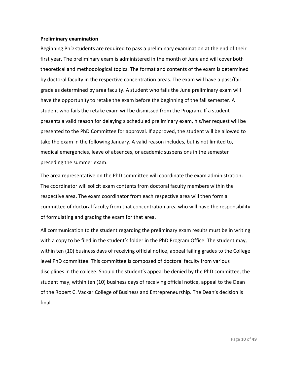#### **Preliminary examination**

Beginning PhD students are required to pass a preliminary examination at the end of their first year. The preliminary exam is administered in the month of June and will cover both theoretical and methodological topics. The format and contents of the exam is determined by doctoral faculty in the respective concentration areas. The exam will have a pass/fail grade as determined by area faculty. A student who fails the June preliminary exam will have the opportunity to retake the exam before the beginning of the fall semester. A student who fails the retake exam will be dismissed from the Program. If a student presents a valid reason for delaying a scheduled preliminary exam, his/her request will be presented to the PhD Committee for approval. If approved, the student will be allowed to take the exam in the following January. A valid reason includes, but is not limited to, medical emergencies, leave of absences, or academic suspensions in the semester preceding the summer exam.

The area representative on the PhD committee will coordinate the exam administration. The coordinator will solicit exam contents from doctoral faculty members within the respective area. The exam coordinator from each respective area will then form a committee of doctoral faculty from that concentration area who will have the responsibility of formulating and grading the exam for that area.

All communication to the student regarding the preliminary exam results must be in writing with a copy to be filed in the student's folder in the PhD Program Office. The student may, within ten (10) business days of receiving official notice, appeal failing grades to the College level PhD committee. This committee is composed of doctoral faculty from various disciplines in the college. Should the student's appeal be denied by the PhD committee, the student may, within ten (10) business days of receiving official notice, appeal to the Dean of the Robert C. Vackar College of Business and Entrepreneurship. The Dean's decision is final.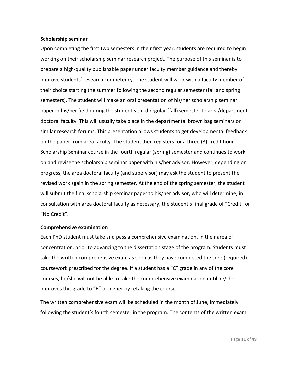#### **Scholarship seminar**

Upon completing the first two semesters in their first year, students are required to begin working on their scholarship seminar research project. The purpose of this seminar is to prepare a high-quality publishable paper under faculty member guidance and thereby improve students' research competency. The student will work with a faculty member of their choice starting the summer following the second regular semester (fall and spring semesters). The student will make an oral presentation of his/her scholarship seminar paper in his/her field during the student's third regular (fall) semester to area/department doctoral faculty. This will usually take place in the departmental brown bag seminars or similar research forums. This presentation allows students to get developmental feedback on the paper from area faculty. The student then registers for a three (3) credit hour Scholarship Seminar course in the fourth regular (spring) semester and continues to work on and revise the scholarship seminar paper with his/her advisor. However, depending on progress, the area doctoral faculty (and supervisor) may ask the student to present the revised work again in the spring semester. At the end of the spring semester, the student will submit the final scholarship seminar paper to his/her advisor, who will determine, in consultation with area doctoral faculty as necessary, the student's final grade of "Credit" or "No Credit".

#### **Comprehensive examination**

Each PhD student must take and pass a comprehensive examination, in their area of concentration, prior to advancing to the dissertation stage of the program. Students must take the written comprehensive exam as soon as they have completed the core (required) coursework prescribed for the degree. If a student has a "C" grade in any of the core courses, he/she will not be able to take the comprehensive examination until he/she improves this grade to "B" or higher by retaking the course.

The written comprehensive exam will be scheduled in the month of June, immediately following the student's fourth semester in the program. The contents of the written exam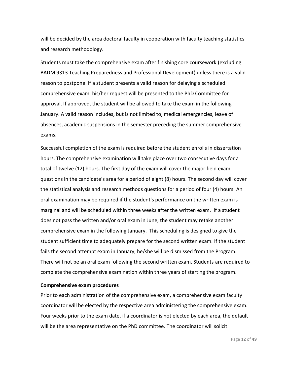will be decided by the area doctoral faculty in cooperation with faculty teaching statistics and research methodology.

Students must take the comprehensive exam after finishing core coursework (excluding BADM 9313 Teaching Preparedness and Professional Development) unless there is a valid reason to postpone. If a student presents a valid reason for delaying a scheduled comprehensive exam, his/her request will be presented to the PhD Committee for approval. If approved, the student will be allowed to take the exam in the following January. A valid reason includes, but is not limited to, medical emergencies, leave of absences, academic suspensions in the semester preceding the summer comprehensive exams.

Successful completion of the exam is required before the student enrolls in dissertation hours. The comprehensive examination will take place over two consecutive days for a total of twelve (12) hours. The first day of the exam will cover the major field exam questions in the candidate's area for a period of eight (8) hours. The second day will cover the statistical analysis and research methods questions for a period of four (4) hours. An oral examination may be required if the student's performance on the written exam is marginal and will be scheduled within three weeks after the written exam. If a student does not pass the written and/or oral exam in June, the student may retake another comprehensive exam in the following January. This scheduling is designed to give the student sufficient time to adequately prepare for the second written exam. If the student fails the second attempt exam in January, he/she will be dismissed from the Program. There will not be an oral exam following the second written exam. Students are required to complete the comprehensive examination within three years of starting the program.

#### **Comprehensive exam procedures**

Prior to each administration of the comprehensive exam, a comprehensive exam faculty coordinator will be elected by the respective area administering the comprehensive exam. Four weeks prior to the exam date, if a coordinator is not elected by each area, the default will be the area representative on the PhD committee. The coordinator will solicit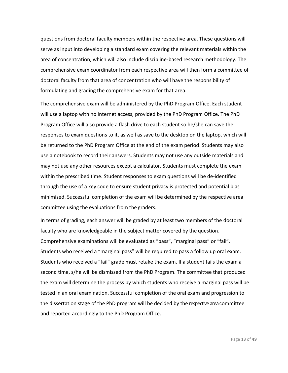questions from doctoral faculty members within the respective area. These questions will serve as input into developing a standard exam covering the relevant materials within the area of concentration, which will also include discipline-based research methodology. The comprehensive exam coordinator from each respective area will then form a committee of doctoral faculty from that area of concentration who will have the responsibility of formulating and grading the comprehensive exam for that area.

The comprehensive exam will be administered by the PhD Program Office. Each student will use a laptop with no Internet access, provided by the PhD Program Office. The PhD Program Office will also provide a flash drive to each student so he/she can save the responses to exam questions to it, as well as save to the desktop on the laptop, which will be returned to the PhD Program Office at the end of the exam period. Students may also use a notebook to record their answers. Students may not use any outside materials and may not use any other resources except a calculator. Students must complete the exam within the prescribed time. Student responses to exam questions will be de-identified through the use of a key code to ensure student privacy is protected and potential bias minimized. Successful completion of the exam will be determined by the respective area committee using the evaluations from the graders.

In terms of grading, each answer will be graded by at least two members of the doctoral faculty who are knowledgeable in the subject matter covered by the question. Comprehensive examinations will be evaluated as "pass", "marginal pass" or "fail". Students who received a "marginal pass" will be required to pass a follow up oral exam. Students who received a "fail" grade must retake the exam. If a student fails the exam a second time, s/he will be dismissed from the PhD Program. The committee that produced the exam will determine the process by which students who receive a marginal pass will be tested in an oral examination. Successful completion of the oral exam and progression to the dissertation stage of the PhD program will be decided by the respective area committee and reported accordingly to the PhD Program Office.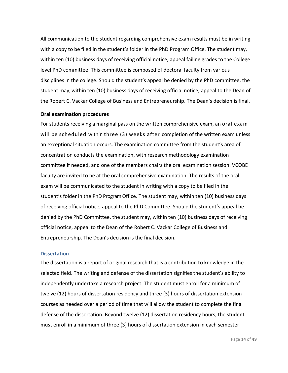All communication to the student regarding comprehensive exam results must be in writing with a copy to be filed in the student's folder in the PhD Program Office. The student may, within ten (10) business days of receiving official notice, appeal failing grades to the College level PhD committee. This committee is composed of doctoral faculty from various disciplines in the college. Should the student's appeal be denied by the PhD committee, the student may, within ten (10) business days of receiving official notice, appeal to the Dean of the Robert C. Vackar College of Business and Entrepreneurship. The Dean's decision is final.

#### **Oral examination procedures**

For students receiving a marginal pass on the written comprehensive exam, an oral exam will be scheduled within three (3) weeks after completion of the written exam unless an exceptional situation occurs. The examination committee from the student's area of concentration conducts the examination, with research methodology examination committee if needed, and one of the members chairs the oral examination session. VCOBE faculty are invited to be at the oral comprehensive examination. The results of the oral exam will be communicated to the student in writing with a copy to be filed in the student's folder in the PhD Program Office. The student may, within ten (10) business days of receiving official notice, appeal to the PhD Committee. Should the student's appeal be denied by the PhD Committee, the student may, within ten (10) business days of receiving official notice, appeal to the Dean of the Robert C. Vackar College of Business and Entrepreneurship. The Dean's decision is the final decision.

#### **Dissertation**

The dissertation is a report of original research that is a contribution to knowledge in the selected field. The writing and defense of the dissertation signifies the student's ability to independently undertake a research project. The student must enroll for a minimum of twelve (12) hours of dissertation residency and three (3) hours of dissertation extension courses as needed over a period of time that will allow the student to complete the final defense of the dissertation. Beyond twelve (12) dissertation residency hours, the student must enroll in a minimum of three (3) hours of dissertation extension in each semester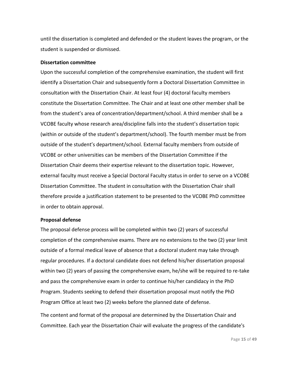until the dissertation is completed and defended or the student leaves the program, or the student is suspended or dismissed.

#### **Dissertation committee**

Upon the successful completion of the comprehensive examination, the student will first identify a Dissertation Chair and subsequently form a Doctoral Dissertation Committee in consultation with the Dissertation Chair. At least four (4) doctoral faculty members constitute the Dissertation Committee. The Chair and at least one other member shall be from the student's area of concentration/department/school. A third member shall be a VCOBE faculty whose research area/discipline falls into the student's dissertation topic (within or outside of the student's department/school). The fourth member must be from outside of the student's department/school. External faculty members from outside of VCOBE or other universities can be members of the Dissertation Committee if the Dissertation Chair deems their expertise relevant to the dissertation topic. However, external faculty must receive a Special Doctoral Faculty status in order to serve on a VCOBE Dissertation Committee. The student in consultation with the Dissertation Chair shall therefore provide a justification statement to be presented to the VCOBE PhD committee in order to obtain approval.

#### **Proposal defense**

The proposal defense process will be completed within two (2) years of successful completion of the comprehensive exams. There are no extensions to the two (2) year limit outside of a formal medical leave of absence that a doctoral student may take through regular procedures. If a doctoral candidate does not defend his/her dissertation proposal within two (2) years of passing the comprehensive exam, he/she will be required to re-take and pass the comprehensive exam in order to continue his/her candidacy in the PhD Program. Students seeking to defend their dissertation proposal must notify the PhD Program Office at least two (2) weeks before the planned date of defense.

The content and format of the proposal are determined by the Dissertation Chair and Committee. Each year the Dissertation Chair will evaluate the progress of the candidate's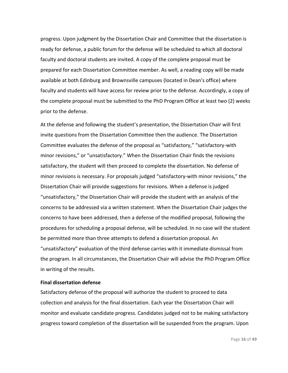progress. Upon judgment by the Dissertation Chair and Committee that the dissertation is ready for defense, a public forum for the defense will be scheduled to which all doctoral faculty and doctoral students are invited. A copy of the complete proposal must be prepared for each Dissertation Committee member. As well, a reading copy will be made available at both Edinburg and Brownsville campuses (located in Dean's office) where faculty and students will have access for review prior to the defense. Accordingly, a copy of the complete proposal must be submitted to the PhD Program Office at least two (2) weeks prior to the defense.

At the defense and following the student's presentation, the Dissertation Chair will first invite questions from the Dissertation Committee then the audience. The Dissertation Committee evaluates the defense of the proposal as "satisfactory," "satisfactory-with minor revisions," or "unsatisfactory." When the Dissertation Chair finds the revisions satisfactory, the student will then proceed to complete the dissertation. No defense of minor revisions is necessary. For proposals judged "satisfactory-with minor revisions," the Dissertation Chair will provide suggestions for revisions. When a defense is judged "unsatisfactory," the Dissertation Chair will provide the student with an analysis of the concerns to be addressed via a written statement. When the Dissertation Chair judges the concerns to have been addressed, then a defense of the modified proposal, following the procedures for scheduling a proposal defense, will be scheduled. In no case will the student be permitted more than three attempts to defend a dissertation proposal. An "unsatisfactory" evaluation of the third defense carries with it immediate dismissal from the program. In all circumstances, the Dissertation Chair will advise the PhD Program Office in writing of the results.

#### **Final dissertation defense**

Satisfactory defense of the proposal will authorize the student to proceed to data collection and analysis for the final dissertation. Each year the Dissertation Chair will monitor and evaluate candidate progress. Candidates judged not to be making satisfactory progress toward completion of the dissertation will be suspended from the program. Upon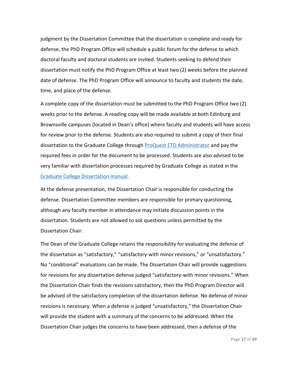judgment by the Dissertation Committee that the dissertation is complete and ready for defense, the PhD Program Office will schedule a public forum for the defense to which doctoral faculty and doctoral students are invited. Students seeking to defend their dissertation must notify the PhD Program Office at least two (2) weeks before the planned date of defense. The PhD Program Office will announce to faculty and students the date, time, and place of the defense.

A complete copy of the dissertation must be submitted to the PhD Program Office two (2) weeks prior to the defense. A reading copy will be made available at both Edinburg and Brownsville campuses (located in Dean's office) where faculty and students will have access for review prior to the defense. Students are also required to submit a copy of their final dissertation to the Graduate College through [ProQuest ETD Administrator](https://www.etdadmin.com/cgi-bin/school?siteId=743) and pay the required fees in order for the document to be processed. Students are also advised to be very familiar with dissertation processes required by Graduate College as stated in the [Graduate College Dissertation manual.](https://www.utrgv.edu/graduate/_files/documents/dissertation_manual_updated%20jun182.pdf)

At the defense presentation, the Dissertation Chair is responsible for conducting the defense. Dissertation Committee members are responsible for primary questioning, although any faculty member in attendance may initiate discussion points in the dissertation. Students are not allowed to ask questions unless permitted by the Dissertation Chair.

The Dean of the Graduate College retains the responsibility for evaluating the defense of the dissertation as "satisfactory," "satisfactory-with minor revisions," or "unsatisfactory." No "conditional" evaluations can be made. The Dissertation Chair will provide suggestions for revisions for any dissertation defense judged "satisfactory-with minor revisions." When the Dissertation Chair finds the revisions satisfactory, then the PhD Program Director will be advised of the satisfactory completion of the dissertation defense. No defense of minor revisions is necessary. When a defense is judged "unsatisfactory," the Dissertation Chair will provide the student with a summary of the concerns to be addressed. When the Dissertation Chair judges the concerns to have been addressed, then a defense of the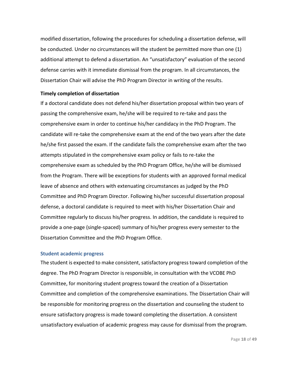modified dissertation, following the procedures for scheduling a dissertation defense, will be conducted. Under no circumstances will the student be permitted more than one (1) additional attempt to defend a dissertation. An "unsatisfactory" evaluation of the second defense carries with it immediate dismissal from the program. In all circumstances, the Dissertation Chair will advise the PhD Program Director in writing of the results.

#### **Timely completion of dissertation**

If a doctoral candidate does not defend his/her dissertation proposal within two years of passing the comprehensive exam, he/she will be required to re-take and pass the comprehensive exam in order to continue his/her candidacy in the PhD Program. The candidate will re-take the comprehensive exam at the end of the two years after the date he/she first passed the exam. If the candidate fails the comprehensive exam after the two attempts stipulated in the comprehensive exam policy or fails to re-take the comprehensive exam as scheduled by the PhD Program Office, he/she will be dismissed from the Program. There will be exceptions for students with an approved formal medical leave of absence and others with extenuating circumstances as judged by the PhD Committee and PhD Program Director. Following his/her successful dissertation proposal defense, a doctoral candidate is required to meet with his/her Dissertation Chair and Committee regularly to discuss his/her progress. In addition, the candidate is required to provide a one-page (single-spaced) summary of his/her progress every semester to the Dissertation Committee and the PhD Program Office.

#### **Student academic progress**

The student is expected to make consistent, satisfactory progresstoward completion of the degree. The PhD Program Director is responsible, in consultation with the VCOBE PhD Committee, for monitoring student progress toward the creation of a Dissertation Committee and completion of the comprehensive examinations. The Dissertation Chair will be responsible for monitoring progress on the dissertation and counseling the student to ensure satisfactory progress is made toward completing the dissertation. A consistent unsatisfactory evaluation of academic progress may cause for dismissal from the program.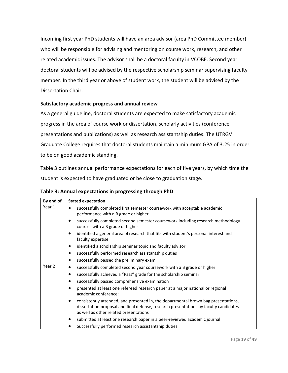Incoming first year PhD students will have an area advisor (area PhD Committee member) who will be responsible for advising and mentoring on course work, research, and other related academic issues. The advisor shall be a doctoral faculty in VCOBE. Second year doctoral students will be advised by the respective scholarship seminar supervising faculty member. In the third year or above of student work, the student will be advised by the Dissertation Chair.

#### **Satisfactory academic progress and annual review**

As a general guideline, doctoral students are expected to make satisfactory academic progress in the area of course work or dissertation, scholarly activities (conference presentations and publications) as well as research assistantship duties. The UTRGV Graduate College requires that doctoral students maintain a minimum GPA of 3.25 in order to be on good academic standing.

Table 3 outlines annual performance expectations for each of five years, by which time the student is expected to have graduated or be close to graduation stage.

|  | Table 3: Annual expectations in progressing through PhD |  |  |
|--|---------------------------------------------------------|--|--|
|--|---------------------------------------------------------|--|--|

| By end of | <b>Stated expectation</b>                                                                                                                                                                                                  |  |  |
|-----------|----------------------------------------------------------------------------------------------------------------------------------------------------------------------------------------------------------------------------|--|--|
| Year 1    | successfully completed first semester coursework with acceptable academic<br>٠<br>performance with a B grade or higher                                                                                                     |  |  |
|           | successfully completed second semester coursework including research methodology<br>٠<br>courses with a B grade or higher                                                                                                  |  |  |
|           | identified a general area of research that fits with student's personal interest and<br>$\bullet$<br>faculty expertise                                                                                                     |  |  |
|           | identified a scholarship seminar topic and faculty advisor<br>٠                                                                                                                                                            |  |  |
|           | successfully performed research assistantship duties<br>$\bullet$                                                                                                                                                          |  |  |
|           | successfully passed the preliminary exam<br>٠                                                                                                                                                                              |  |  |
| Year 2    | successfully completed second year coursework with a B grade or higher<br>$\bullet$                                                                                                                                        |  |  |
|           | successfully achieved a "Pass" grade for the scholarship seminar<br>٠                                                                                                                                                      |  |  |
|           | successfully passed comprehensive examination<br>$\bullet$                                                                                                                                                                 |  |  |
|           | presented at least one refereed research paper at a major national or regional<br>٠<br>academic conference;                                                                                                                |  |  |
|           | consistently attended, and presented in, the departmental brown bag presentations,<br>٠<br>dissertation proposal and final defense, research presentations by faculty candidates<br>as well as other related presentations |  |  |
|           | submitted at least one research paper in a peer-reviewed academic journal<br>$\bullet$                                                                                                                                     |  |  |
|           | Successfully performed research assistantship duties                                                                                                                                                                       |  |  |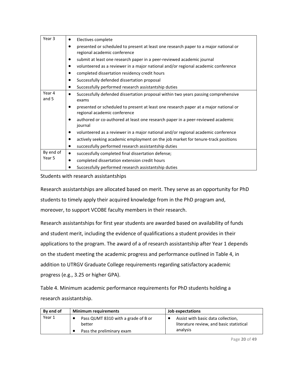| Year <sub>3</sub> | Electives complete<br>$\bullet$                                                                                                   |
|-------------------|-----------------------------------------------------------------------------------------------------------------------------------|
|                   | presented or scheduled to present at least one research paper to a major national or                                              |
|                   | regional academic conference                                                                                                      |
|                   | submit at least one research paper in a peer-reviewed academic journal<br>$\bullet$                                               |
|                   | volunteered as a reviewer in a major national and/or regional academic conference<br>$\bullet$                                    |
|                   | completed dissertation residency credit hours<br>٠                                                                                |
|                   | Successfully defended dissertation proposal<br>$\bullet$                                                                          |
|                   | Successfully performed research assistantship duties                                                                              |
| Year 4<br>and 5   | Successfully defended dissertation proposal within two years passing comprehensive<br>$\bullet$<br>exams                          |
|                   |                                                                                                                                   |
|                   | presented or scheduled to present at least one research paper at a major national or<br>$\bullet$<br>regional academic conference |
|                   | authored or co-authored at least one research paper in a peer-reviewed academic<br>journal                                        |
|                   | volunteered as a reviewer in a major national and/or regional academic conference<br>$\bullet$                                    |
|                   | actively seeking academic employment on the job market for tenure-track positions<br>٠                                            |
|                   | successfully performed research assistantship duties<br>٠                                                                         |
| By end of         | successfully completed final dissertation defense;<br>$\bullet$                                                                   |
| Year 5            | completed dissertation extension credit hours<br>$\bullet$                                                                        |
|                   | Successfully performed research assistantship duties                                                                              |

Students with research assistantships

Research assistantships are allocated based on merit. They serve as an opportunity for PhD students to timely apply their acquired knowledge from in the PhD program and, moreover, to support VCOBE faculty members in their research.

Research assistantships for first year students are awarded based on availability of funds and student merit, including the evidence of qualifications a student provides in their applications to the program. The award of a of research assistantship after Year 1 depends on the student meeting the academic progress and performance outlined in Table 4, in addition to UTRGV Graduate College requirements regarding satisfactory academic progress (e.g., 3.25 or higher GPA).

Table 4. Minimum academic performance requirements for PhD students holding a research assistantship.

| By end of | <b>Minimum requirements</b>                   | Job expectations                                                                           |  |
|-----------|-----------------------------------------------|--------------------------------------------------------------------------------------------|--|
| Year 1    | Pass QUMT 8310 with a grade of B or<br>better | Assist with basic data collection,<br>literature review, and basic statistical<br>analysis |  |
|           | Pass the preliminary exam                     |                                                                                            |  |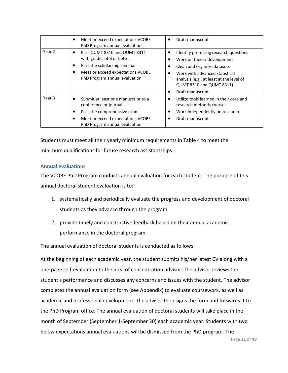|        | Meet or exceed expectations VCOBE<br>$\bullet$<br>PhD Program annual evaluation                                                                                                          | Draft manuscript                                                                                                                                                                                                                 |
|--------|------------------------------------------------------------------------------------------------------------------------------------------------------------------------------------------|----------------------------------------------------------------------------------------------------------------------------------------------------------------------------------------------------------------------------------|
| Year 2 | Pass QUMT 8310 and QUMT 8311<br>٠<br>with grades of B or better<br>Pass the scholarship seminar<br>٠<br>Meet or exceed expectations VCOBE<br>$\bullet$<br>PhD Program annual evaluation  | Identify promising research questions<br>Work on theory development<br>Clean and organize datasets<br>Work with advanced statistical<br>analysis (e.g., at least at the level of<br>QUMT 8310 and QUMT 8311)<br>Draft manuscript |
| Year 3 | Submit at least one manuscript to a<br>$\bullet$<br>conference or journal<br>Pass the comprehensive exam<br>٠<br>Meet or exceed expectations VCOBE<br>٠<br>PhD Program annual evaluation | Utilize tools learned in their core and<br>research methods courses<br>Work independently on research<br>Draft manuscript                                                                                                        |

Students must meet all their yearly minimum requirements in Table 4 to meet the minimum qualifications for future research assistantships.

#### **Annual evaluations**

The VCOBE PhD Program conducts annual evaluation for each student. The purpose of this annual doctoral student evaluation is to:

- 1. systematically and periodically evaluate the progress and development of doctoral students as they advance through the program
- 2. provide timely and constructive feedback based on their annual academic performance in the doctoral program.

The annual evaluation of doctoral students is conducted as follows:

At the beginning of each academic year, the student submits his/her latest CV along with a one-page self-evaluation to the area of concentration advisor. The advisor reviews the student's performance and discusses any concerns and issues with the student. The advisor completes the annual evaluation form (see Appendix) to evaluate coursework, as well as academic and professional development. The advisor then signs the form and forwards it to the PhD Program office. The annual evaluation of doctoral students will take place in the month of September (September 1-September 30) each academic year. Students with two below expectations annual evaluations will be dismissed from the PhD program. The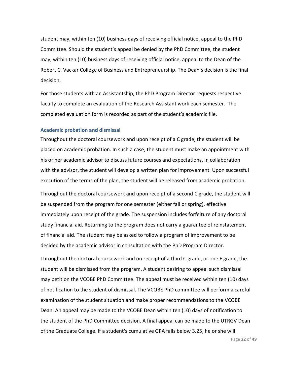student may, within ten (10) business days of receiving official notice, appeal to the PhD Committee. Should the student's appeal be denied by the PhD Committee, the student may, within ten (10) business days of receiving official notice, appeal to the Dean of the Robert C. Vackar College of Business and Entrepreneurship. The Dean's decision is the final decision.

For those students with an Assistantship, the PhD Program Director requests respective faculty to complete an evaluation of the Research Assistant work each semester. The completed evaluation form is recorded as part of the student's academic file.

#### **Academic probation and dismissal**

Throughout the doctoral coursework and upon receipt of a C grade, the student will be placed on academic probation. In such a case, the student must make an appointment with his or her academic advisor to discuss future courses and expectations. In collaboration with the advisor, the student will develop a written plan for improvement. Upon successful execution of the terms of the plan, the student will be released from academic probation.

Throughout the doctoral coursework and upon receipt of a second C grade, the student will be suspended from the program for one semester (either fall or spring), effective immediately upon receipt of the grade. The suspension includes forfeiture of any doctoral study financial aid. Returning to the program does not carry a guarantee of reinstatement of financial aid. The student may be asked to follow a program of improvement to be decided by the academic advisor in consultation with the PhD Program Director.

Throughout the doctoral coursework and on receipt of a third C grade, or one F grade, the student will be dismissed from the program. A student desiring to appeal such dismissal may petition the VCOBE PhD Committee. The appeal must be received within ten (10) days of notification to the student of dismissal. The VCOBE PhD committee will perform a careful examination of the student situation and make proper recommendations to the VCOBE Dean. An appeal may be made to the VCOBE Dean within ten (10) days of notification to the student of the PhD Committee decision. A final appeal can be made to the UTRGV Dean of the Graduate College. If a student's cumulative GPA falls below 3.25, he or she will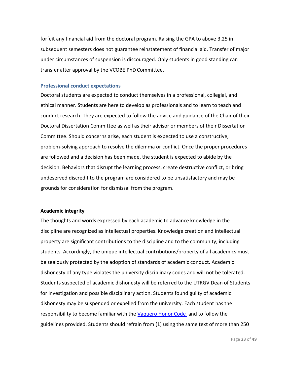forfeit any financial aid from the doctoral program. Raising the GPA to above 3.25 in subsequent semesters does not guarantee reinstatement of financial aid. Transfer of major under circumstances of suspension is discouraged. Only students in good standing can transfer after approval by the VCOBE PhD Committee.

#### **Professional conduct expectations**

Doctoral students are expected to conduct themselves in a professional, collegial, and ethical manner. Students are here to develop as professionals and to learn to teach and conduct research. They are expected to follow the advice and guidance of the Chair of their Doctoral Dissertation Committee as well as their advisor or members of their Dissertation Committee. Should concerns arise, each student is expected to use a constructive, problem-solving approach to resolve the dilemma or conflict. Once the proper procedures are followed and a decision has been made, the student is expected to abide by the decision. Behaviors that disrupt the learning process, create destructive conflict, or bring undeserved discredit to the program are considered to be unsatisfactory and may be grounds for consideration for dismissal from the program.

#### **Academic integrity**

The thoughts and words expressed by each academic to advance knowledge in the discipline are recognized as intellectual properties. Knowledge creation and intellectual property are significant contributions to the discipline and to the community, including students. Accordingly, the unique intellectual contributions/property of all academics must be zealously protected by the adoption of standards of academic conduct. Academic dishonesty of any type violates the university disciplinary codes and will not be tolerated. Students suspected of academic dishonesty will be referred to the UTRGV Dean of Students for investigation and possible disciplinary action. Students found guilty of academic dishonesty may be suspended or expelled from the university. Each student has the responsibility to become familiar with the [Vaquero Honor Code](https://www.utrgv.edu/studentlife/about/vaquero-honor-code/index.htm) and to follow the guidelines provided. Students should refrain from (1) using the same text of more than 250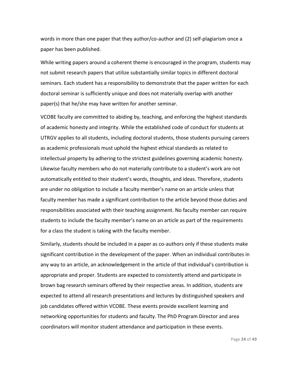words in more than one paper that they author/co-author and (2) self-plagiarism once a paper has been published.

While writing papers around a coherent theme is encouraged in the program, students may not submit research papers that utilize substantially similar topics in different doctoral seminars. Each student has a responsibility to demonstrate that the paper written for each doctoral seminar is sufficiently unique and does not materially overlap with another paper(s) that he/she may have written for another seminar.

VCOBE faculty are committed to abiding by, teaching, and enforcing the highest standards of academic honesty and integrity. While the established code of conduct for students at UTRGV applies to all students, including doctoral students, those students pursuing careers as academic professionals must uphold the highest ethical standards as related to intellectual property by adhering to the strictest guidelines governing academic honesty. Likewise faculty members who do not materially contribute to a student's work are not automatically entitled to their student's words, thoughts, and ideas. Therefore, students are under no obligation to include a faculty member's name on an article unless that faculty member has made a significant contribution to the article beyond those duties and responsibilities associated with their teaching assignment. No faculty member can require students to include the faculty member's name on an article as part of the requirements for a class the student is taking with the faculty member.

Similarly, students should be included in a paper as co-authors only if these students make significant contribution in the development of the paper. When an individual contributes in any way to an article, an acknowledgement in the article of that individual's contribution is appropriate and proper. Students are expected to consistently attend and participate in brown bag research seminars offered by their respective areas. In addition, students are expected to attend all research presentations and lectures by distinguished speakers and job candidates offered within VCOBE. These events provide excellent learning and networking opportunities for students and faculty. The PhD Program Director and area coordinators will monitor student attendance and participation in these events.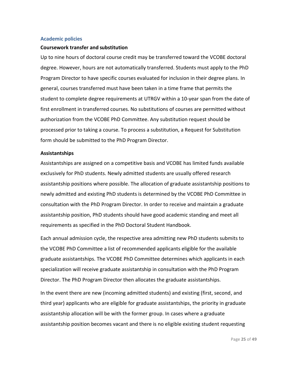#### **Academic policies**

#### **Coursework transfer and substitution**

Up to nine hours of doctoral course credit may be transferred toward the VCOBE doctoral degree. However, hours are not automatically transferred. Students must apply to the PhD Program Director to have specific courses evaluated for inclusion in their degree plans. In general, courses transferred must have been taken in a time frame that permits the student to complete degree requirements at UTRGV within a 10-year span from the date of first enrollment in transferred courses. No substitutions of courses are permitted without authorization from the VCOBE PhD Committee. Any substitution request should be processed prior to taking a course. To process a substitution, a Request for Substitution form should be submitted to the PhD Program Director.

#### **Assistantships**

Assistantships are assigned on a competitive basis and VCOBE has limited funds available exclusively for PhD students. Newly admitted students are usually offered research assistantship positions where possible. The allocation of graduate assistantship positions to newly admitted and existing PhD students is determined by the VCOBE PhD Committee in consultation with the PhD Program Director. In order to receive and maintain a graduate assistantship position, PhD students should have good academic standing and meet all requirements as specified in the PhD Doctoral Student Handbook.

Each annual admission cycle, the respective area admitting new PhD students submits to the VCOBE PhD Committee a list of recommended applicants eligible for the available graduate assistantships. The VCOBE PhD Committee determines which applicants in each specialization will receive graduate assistantship in consultation with the PhD Program Director. The PhD Program Director then allocates the graduate assistantships.

In the event there are new (incoming admitted students) and existing (first, second, and third year) applicants who are eligible for graduate assistantships, the priority in graduate assistantship allocation will be with the former group. In cases where a graduate assistantship position becomes vacant and there is no eligible existing student requesting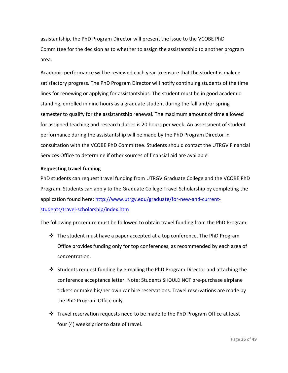assistantship, the PhD Program Director will present the issue to the VCOBE PhD Committee for the decision as to whether to assign the assistantship to another program area.

Academic performance will be reviewed each year to ensure that the student is making satisfactory progress. The PhD Program Director will notify continuing students of the time lines for renewing or applying for assistantships. The student must be in good academic standing, enrolled in nine hours as a graduate student during the fall and/or spring semester to qualify for the assistantship renewal. The maximum amount of time allowed for assigned teaching and research duties is 20 hours per week. An assessment of student performance during the assistantship will be made by the PhD Program Director in consultation with the VCOBE PhD Committee. Students should contact the UTRGV Financial Services Office to determine if other sources of financial aid are available.

#### **Requesting travel funding**

PhD students can request travel funding from UTRGV Graduate College and the VCOBE PhD Program. Students can apply to the Graduate College Travel Scholarship by completing the application found here: [http://www.utrgv.edu/graduate/for-new-and-current](http://www.utrgv.edu/graduate/for-new-and-current-students/travel-scholarship/index.htm)[students/travel-scholarship/index.htm](http://www.utrgv.edu/graduate/for-new-and-current-students/travel-scholarship/index.htm)

The following procedure must be followed to obtain travel funding from the PhD Program:

- $\div$  The student must have a paper accepted at a top conference. The PhD Program Office provides funding only for top conferences, as recommended by each area of concentration.
- ❖ Students request funding by e-mailing the PhD Program Director and attaching the conference acceptance letter. Note: Students SHOULD NOT pre-purchase airplane tickets or make his/her own car hire reservations. Travel reservations are made by the PhD Program Office only.
- ❖ Travel reservation requests need to be made to the PhD Program Office at least four (4) weeks prior to date of travel.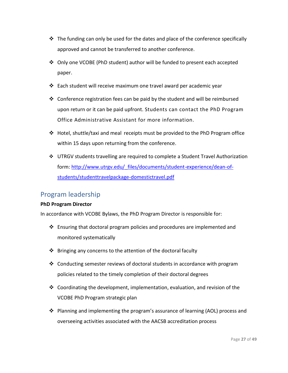- ❖ The funding can only be used for the dates and place of the conference specifically approved and cannot be transferred to another conference.
- ❖ Only one VCOBE (PhD student) author will be funded to present each accepted paper.
- ❖ Each student will receive maximum one travel award per academic year
- ❖ Conference registration fees can be paid by the student and will be reimbursed upon return or it can be paid upfront. Students can contact the PhD Program Office Administrative Assistant for more information.
- ❖ Hotel, shuttle/taxi and meal receipts must be provided to the PhD Program office within 15 days upon returning from the conference.
- ❖ UTRGV students travelling are required to complete a Student Travel Authorization form: [http://www.utrgv.edu/\\_files/documents/student-experience/dean-of](http://www.utrgv.edu/_files/documents/student-experience/dean-of-students/studenttravelpackage-domestictravel.pdf)[students/studenttravelpackage-domestictravel.pdf](http://www.utrgv.edu/_files/documents/student-experience/dean-of-students/studenttravelpackage-domestictravel.pdf)

#### Program leadership

#### **PhD Program Director**

In accordance with VCOBE Bylaws, the PhD Program Director is responsible for:

- ❖ Ensuring that doctoral program policies and procedures are implemented and monitored systematically
- ❖ Bringing any concerns to the attention of the doctoral faculty
- ❖ Conducting semester reviews of doctoral students in accordance with program policies related to the timely completion of their doctoral degrees
- ❖ Coordinating the development, implementation, evaluation, and revision of the VCOBE PhD Program strategic plan
- ❖ Planning and implementing the program's assurance of learning (AOL) process and overseeing activities associated with the AACSB accreditation process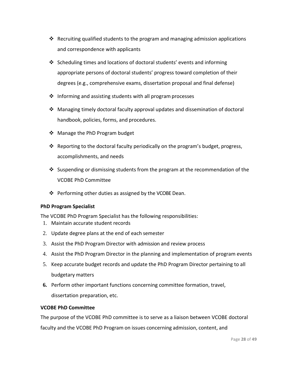- ❖ Recruiting qualified students to the program and managing admission applications and correspondence with applicants
- ❖ Scheduling times and locations of doctoral students' events and informing appropriate persons of doctoral students' progress toward completion of their degrees (e.g., comprehensive exams, dissertation proposal and final defense)
- $\cdot$  Informing and assisting students with all program processes
- ❖ Managing timely doctoral faculty approval updates and dissemination of doctoral handbook, policies, forms, and procedures.
- ❖ Manage the PhD Program budget
- $\div$  Reporting to the doctoral faculty periodically on the program's budget, progress, accomplishments, and needs
- ❖ Suspending or dismissing students from the program at the recommendation of the VCOBE PhD Committee
- ❖ Performing other duties as assigned by the VCOBE Dean.

#### **PhD Program Specialist**

The VCOBE PhD Program Specialist has the following responsibilities:

- 1. Maintain accurate student records
- 2. Update degree plans at the end of each semester
- 3. Assist the PhD Program Director with admission and review process
- 4. Assist the PhD Program Director in the planning and implementation of program events
- 5. Keep accurate budget records and update the PhD Program Director pertaining to all budgetary matters
- **6.** Perform other important functions concerning committee formation, travel, dissertation preparation, etc.

#### **VCOBE PhD Committee**

The purpose of the VCOBE PhD committee is to serve as a liaison between VCOBE doctoral faculty and the VCOBE PhD Program on issues concerning admission, content, and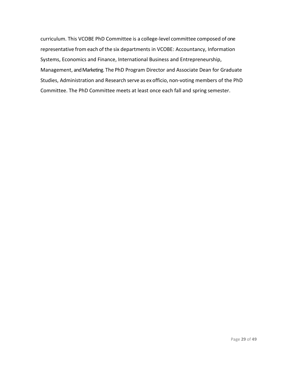curriculum. This VCOBE PhD Committee is a college-level committee composed of one representative from each of the six departments in VCOBE: Accountancy, Information Systems, Economics and Finance, International Business and Entrepreneurship, Management, and Marketing. The PhD Program Director and Associate Dean for Graduate Studies, Administration and Research serve as ex officio, non-voting members of the PhD Committee. The PhD Committee meets at least once each fall and spring semester.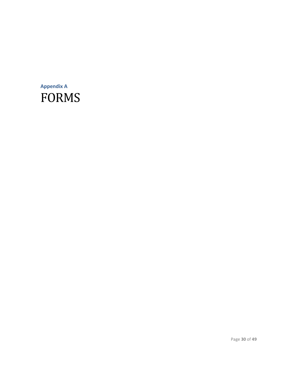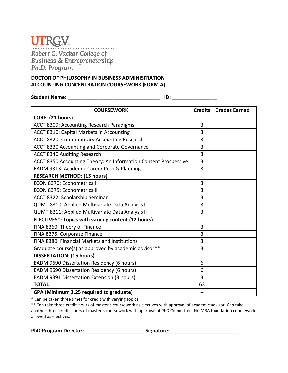Robert C. Vackar College of<br>Business & Entrepreneurship Ph.D. Program

#### **DOCTOR OF PHILOSOPHY IN BUSINESS ADMINISTRATION ACCOUNTING CONCENTRATION COURSEWORK (FORM A)**

**Student Name:** \_\_\_\_\_\_\_\_\_\_\_\_\_\_\_\_\_\_\_\_\_\_\_\_\_\_\_\_\_\_\_\_\_ **ID:** \_\_\_\_\_\_\_\_\_\_\_\_\_\_\_\_

| <b>COURSEWORK</b>                                               | <b>Credits</b> | <b>Grades Earned</b> |
|-----------------------------------------------------------------|----------------|----------------------|
| CORE: (21 hours)                                                |                |                      |
| ACCT 8309: Accounting Research Paradigms                        | 3              |                      |
| ACCT 8310: Capital Markets in Accounting                        | 3              |                      |
| ACCT 8320: Contemporary Accounting Research                     | 3              |                      |
| ACCT 8330 Accounting and Corporate Governance                   | 3              |                      |
| <b>ACCT 8340 Auditing Research</b>                              | 3              |                      |
| ACCT 8350 Accounting Theory: An Information Content Prospective | 3              |                      |
| BADM 9313: Academic Career Prep & Planning                      | 3              |                      |
| <b>RESEARCH METHOD: (15 hours)</b>                              |                |                      |
| <b>ECON 8370: Econometrics I</b>                                | 3              |                      |
| <b>ECON 8375: Econometrics II</b>                               | 3              |                      |
| ACCT 8322: Scholarship Seminar                                  | 3              |                      |
| QUMT 8310: Applied Multivariate Data Analysis I                 | 3              |                      |
| QUMT 8311: Applied Multivariate Data Analysis II                | $\overline{3}$ |                      |
| ELECTIVES*: Topics with varying content (12 hours)              |                |                      |
| FINA 8360: Theory of Finance                                    | 3              |                      |
| FINA 8375: Corporate Finance                                    | 3              |                      |
| FINA 8380: Financial Markets and Institutions                   | 3              |                      |
| Graduate course(s) as approved by academic advisor**            | 3              |                      |
| <b>DISSERTATION: (15 hours)</b>                                 |                |                      |
| BADM 9690 Dissertation Residency (6 hours)                      | 6              |                      |
| BADM 9690 Dissertation Residency (6 hours)                      | 6              |                      |
| BADM 9391 Dissertation Extension (3 hours)                      | $\overline{3}$ |                      |
| <b>TOTAL</b>                                                    | 63             |                      |
| GPA (Minimum 3.25 required to graduate)                         |                |                      |

\* Can be taken three times for credit with varying topics.

\*\* Can take three credit-hours of master's coursework as electives with approval of academic advisor. Can take another three credit-hours of master's coursework with approval of PhD Committee. No MBA foundation coursework allowed as electives.

**PhD Program Director:** \_\_\_\_\_\_\_\_\_\_\_\_\_\_\_\_\_\_\_\_\_ **Signature:** \_\_\_\_\_\_\_\_\_\_\_\_\_\_\_\_\_\_\_\_\_\_\_\_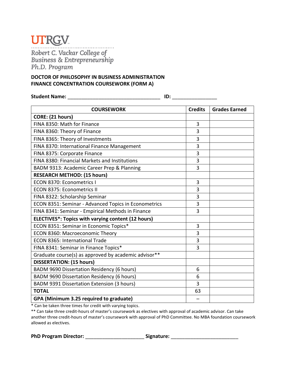### **UTRGV** Robert C. Vackar College of<br>Business & Entrepreneurship Ph.D. Program

#### **DOCTOR OF PHILOSOPHY IN BUSINESS ADMINISTRATION FINANCE CONCENTRATION COURSEWORK (FORM A)**

**Student Name:** \_\_\_\_\_\_\_\_\_\_\_\_\_\_\_\_\_\_\_\_\_\_\_\_\_\_\_\_\_\_\_\_\_ **ID:** \_\_\_\_\_\_\_\_\_\_\_\_\_\_\_\_

| <b>COURSEWORK</b>                                    | <b>Credits</b> | <b>Grades Earned</b> |
|------------------------------------------------------|----------------|----------------------|
| CORE: (21 hours)                                     |                |                      |
| FINA 8350: Math for Finance                          | 3              |                      |
| FINA 8360: Theory of Finance                         | 3              |                      |
| FINA 8365: Theory of Investments                     | 3              |                      |
| FINA 8370: International Finance Management          | 3              |                      |
| FINA 8375: Corporate Finance                         | 3              |                      |
| FINA 8380: Financial Markets and Institutions        | 3              |                      |
| BADM 9313: Academic Career Prep & Planning           | 3              |                      |
| <b>RESEARCH METHOD: (15 hours)</b>                   |                |                      |
| ECON 8370: Econometrics I                            | 3              |                      |
| <b>ECON 8375: Econometrics II</b>                    | 3              |                      |
| FINA 8322: Scholarship Seminar                       | 3              |                      |
| ECON 8351: Seminar - Advanced Topics in Econometrics | 3              |                      |
| FINA 8341: Seminar - Empirical Methods in Finance    | 3              |                      |
| ELECTIVES*: Topics with varying content (12 hours)   |                |                      |
| ECON 8351: Seminar in Economic Topics*               | 3              |                      |
| ECON 8360: Macroeconomic Theory                      | 3              |                      |
| ECON 8365: International Trade                       | 3              |                      |
| FINA 8341: Seminar in Finance Topics*                | 3              |                      |
| Graduate course(s) as approved by academic advisor** |                |                      |
| <b>DISSERTATION: (15 hours)</b>                      |                |                      |
| BADM 9690 Dissertation Residency (6 hours)           | 6              |                      |
| BADM 9690 Dissertation Residency (6 hours)           | 6              |                      |
| <b>BADM 9391 Dissertation Extension (3 hours)</b>    | 3              |                      |
| <b>TOTAL</b>                                         | 63             |                      |
| GPA (Minimum 3.25 required to graduate)              |                |                      |

\* Can be taken three times for credit with varying topics.

\*\* Can take three credit-hours of master's coursework as electives with approval of academic advisor. Can take another three credit-hours of master's coursework with approval of PhD Committee. No MBA foundation coursework allowed as electives.

**PhD Program Director:** \_\_\_\_\_\_\_\_\_\_\_\_\_\_\_\_\_\_\_\_\_ **Signature:** \_\_\_\_\_\_\_\_\_\_\_\_\_\_\_\_\_\_\_\_\_\_\_\_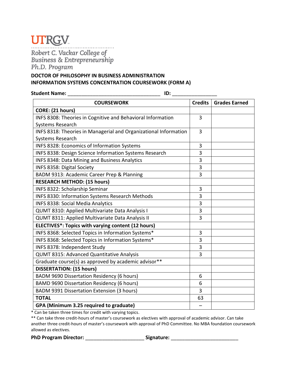Robert C. Vackar College of<br>Business & Entrepreneurship

Ph.D. Program

#### **DOCTOR OF PHILOSOPHY IN BUSINESS ADMINISTRATION INFORMATION SYSTEMS CONCENTRATION COURSEWORK (FORM A)**

**Student Name: ID: ID: ID: ID:**  $\blacksquare$ 

| <b>COURSEWORK</b>                                                | <b>Credits</b> | <b>Grades Earned</b> |
|------------------------------------------------------------------|----------------|----------------------|
| CORE: (21 hours)                                                 |                |                      |
| INFS 8308: Theories in Cognitive and Behavioral Information      | 3              |                      |
| Systems Research                                                 |                |                      |
| INFS 8318: Theories in Managerial and Organizational Information | $\overline{3}$ |                      |
| Systems Research                                                 |                |                      |
| INFS 8328: Economics of Information Systems                      | 3              |                      |
| INFS 8338: Design Science Information Systems Research           | 3              |                      |
| INFS 8348: Data Mining and Business Analytics                    | 3              |                      |
| INFS 8358: Digital Society                                       | 3              |                      |
| BADM 9313: Academic Career Prep & Planning                       | 3              |                      |
| <b>RESEARCH METHOD: (15 hours)</b>                               |                |                      |
| INFS 8322: Scholarship Seminar                                   | 3              |                      |
| INFS 8330: Information Systems Research Methods                  | 3              |                      |
| <b>INFS 8338: Social Media Analytics</b>                         | 3              |                      |
| QUMT 8310: Applied Multivariate Data Analysis I                  | 3              |                      |
| QUMT 8311: Applied Multivariate Data Analysis II                 | 3              |                      |
| ELECTIVES*: Topics with varying content (12 hours)               |                |                      |
| INFS 8368: Selected Topics in Information Systems*               | 3              |                      |
| INFS 8368: Selected Topics in Information Systems*               | 3              |                      |
| INFS 8378: Independent Study                                     | 3              |                      |
| QUMT 8315: Advanced Quantitative Analysis                        | 3              |                      |
| Graduate course(s) as approved by academic advisor**             |                |                      |
| <b>DISSERTATION: (15 hours)</b>                                  |                |                      |
| BADM 9690 Dissertation Residency (6 hours)                       | 6              |                      |
| BAMD 9690 Dissertation Residency (6 hours)                       | 6              |                      |
| BADM 9391 Dissertation Extension (3 hours)                       | 3              |                      |
| <b>TOTAL</b>                                                     | 63             |                      |
| GPA (Minimum 3.25 required to graduate)                          |                |                      |

\* Can be taken three times for credit with varying topics.

\*\* Can take three credit-hours of master's coursework as electives with approval of academic advisor. Can take another three credit-hours of master's coursework with approval of PhD Committee. No MBA foundation coursework allowed as electives.

PhD Program Director: **with a signature** signature: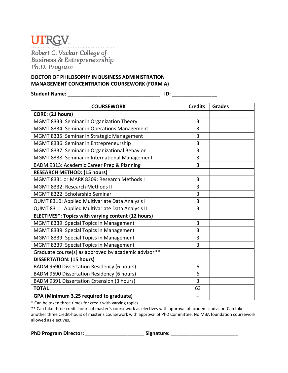Robert C. Vackar College of<br>Business & Entrepreneurship

Ph.D. Program

### **DOCTOR OF PHILOSOPHY IN BUSINESS ADMINISTRATION MANAGEMENT CONCENTRATION COURSEWORK (FORM A)**

**Student Name:** \_\_\_\_\_\_\_\_\_\_\_\_\_\_\_\_\_\_\_\_\_\_\_\_\_\_\_\_\_\_\_\_\_ **ID:** \_\_\_\_\_\_\_\_\_\_\_\_\_\_\_\_

| <b>COURSEWORK</b>                                    | <b>Credits</b> | <b>Grades</b> |
|------------------------------------------------------|----------------|---------------|
| CORE: (21 hours)                                     |                |               |
| MGMT 8333: Seminar in Organization Theory            | 3              |               |
| MGMT 8334: Seminar in Operations Management          | 3              |               |
| MGMT 8335: Seminar in Strategic Management           | 3              |               |
| MGMT 8336: Seminar in Entrepreneurship               | 3              |               |
| MGMT 8337: Seminar in Organizational Behavior        | 3              |               |
| MGMT 8338: Seminar in International Management       | 3              |               |
| BADM 9313: Academic Career Prep & Planning           | 3              |               |
| <b>RESEARCH METHOD: (15 hours)</b>                   |                |               |
| MGMT 8331 or MARK 8309: Research Methods I           | 3              |               |
| MGMT 8332: Research Methods II                       | 3              |               |
| MGMT 8322: Scholarship Seminar                       | 3              |               |
| QUMT 8310: Applied Multivariate Data Analysis I      | 3              |               |
| QUMT 8311: Applied Multivariate Data Analysis II     | 3              |               |
| ELECTIVES*: Topics with varying content (12 hours)   |                |               |
| MGMT 8339: Special Topics in Management              | 3              |               |
| MGMT 8339: Special Topics in Management              | 3              |               |
| MGMT 8339: Special Topics in Management              | 3              |               |
| MGMT 8339: Special Topics in Management              | 3              |               |
| Graduate course(s) as approved by academic advisor** |                |               |
| <b>DISSERTATION: (15 hours)</b>                      |                |               |
| BADM 9690 Dissertation Residency (6 hours)           | 6              |               |
| BADM 9690 Dissertation Residency (6 hours)           | 6              |               |
| BADM 9391 Dissertation Extension (3 hours)           | 3              |               |
| <b>TOTAL</b>                                         | 63             |               |
| GPA (Minimum 3.25 required to graduate)              |                |               |

\* Can be taken three times for credit with varying topics.

\*\* Can take three credit-hours of master's coursework as electives with approval of academic advisor. Can take another three credit-hours of master's coursework with approval of PhD Committee. No MBA foundation coursework allowed as electives.

**PhD Program Director:** \_\_\_\_\_\_\_\_\_\_\_\_\_\_\_\_\_\_\_\_\_ **Signature:** \_\_\_\_\_\_\_\_\_\_\_\_\_\_\_\_\_\_\_\_\_\_\_\_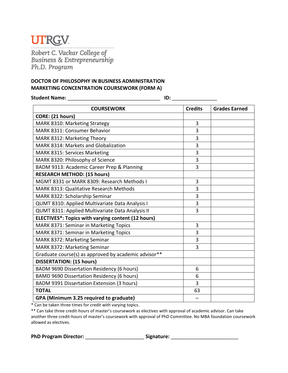Robert C. Vackar College of<br>Business & Entrepreneurship

Ph.D. Program

#### **DOCTOR OF PHILOSOPHY IN BUSINESS ADMINISTRATION MARKETING CONCENTRATION COURSEWORK (FORM A)**

**Student Name:** \_\_\_\_\_\_\_\_\_\_\_\_\_\_\_\_\_\_\_\_\_\_\_\_\_\_\_\_\_\_\_\_\_ **ID:** \_\_\_\_\_\_\_\_\_\_\_\_\_\_\_\_

| <b>COURSEWORK</b>                                    | <b>Credits</b> | <b>Grades Earned</b> |
|------------------------------------------------------|----------------|----------------------|
| CORE: (21 hours)                                     |                |                      |
| MARK 8310: Marketing Strategy                        | 3              |                      |
| <b>MARK 8311: Consumer Behavior</b>                  | 3              |                      |
| MARK 8312: Marketing Theory                          | 3              |                      |
| MARK 8314: Markets and Globalization                 | 3              |                      |
| MARK 8315: Services Marketing                        | 3              |                      |
| MARK 8320: Philosophy of Science                     | 3              |                      |
| BADM 9313: Academic Career Prep & Planning           | 3              |                      |
| <b>RESEARCH METHOD: (15 hours)</b>                   |                |                      |
| MGMT 8331 or MARK 8309: Research Methods I           | 3              |                      |
| <b>MARK 8313: Qualitative Research Methods</b>       | 3              |                      |
| MARK 8322: Scholarship Seminar                       | 3              |                      |
| QUMT 8310: Applied Multivariate Data Analysis I      | 3              |                      |
| QUMT 8311: Applied Multivariate Data Analysis II     | 3              |                      |
| ELECTIVES*: Topics with varying content (12 hours)   |                |                      |
| MARK 8371: Seminar in Marketing Topics               | 3              |                      |
| MARK 8371: Seminar in Marketing Topics               | 3              |                      |
| MARK 8372: Marketing Seminar                         | $\overline{3}$ |                      |
| MARK 8372: Marketing Seminar                         | 3              |                      |
| Graduate course(s) as approved by academic advisor** |                |                      |
| <b>DISSERTATION: (15 hours)</b>                      |                |                      |
| BADM 9690 Dissertation Residency (6 hours)           | 6              |                      |
| BAMD 9690 Dissertation Residency (6 hours)           | 6              |                      |
| BADM 9391 Dissertation Extension (3 hours)           | 3              |                      |
| <b>TOTAL</b>                                         | 63             |                      |
| GPA (Minimum 3.25 required to graduate)              |                |                      |

\* Can be taken three times for credit with varying topics.

\*\* Can take three credit-hours of master's coursework as electives with approval of academic advisor. Can take another three credit-hours of master's coursework with approval of PhD Committee. No MBA foundation coursework allowed as electives.

**PhD Program Director:** \_\_\_\_\_\_\_\_\_\_\_\_\_\_\_\_\_\_\_\_\_ **Signature:** \_\_\_\_\_\_\_\_\_\_\_\_\_\_\_\_\_\_\_\_\_\_\_\_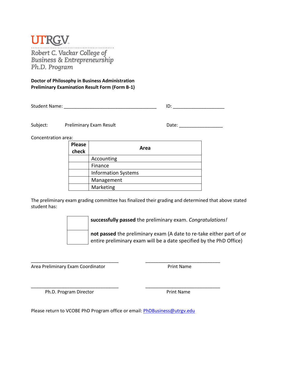Robert C. Vackar College of<br>Business & Entrepreneurship Ph.D. Program

**Doctor of Philosophy in Business Administration Preliminary Examination Result Form (Form B-1)**

Student Name: \_\_\_\_\_\_\_\_\_\_\_\_\_\_\_\_\_\_\_\_\_\_\_\_\_\_\_\_\_\_\_\_\_\_\_\_ ID: \_\_\_\_\_\_\_\_\_\_\_\_\_\_\_\_\_\_\_\_

Subject: Preliminary Exam Result Date: Date:

Concentration area:

| <b>Please</b><br>check | Area                       |
|------------------------|----------------------------|
|                        | Accounting                 |
|                        | Finance                    |
|                        | <b>Information Systems</b> |
|                        | Management                 |
|                        | Marketing                  |

The preliminary exam grading committee has finalized their grading and determined that above stated student has:

**successfully passed** the preliminary exam. *Congratulations!*

**not passed** the preliminary exam (A date to re-take either part of or entire preliminary exam will be a date specified by the PhD Office)

Area Preliminary Exam Coordinator **Print Name** 

Ph.D. Program Director **Print Name** 

Please return to VCOBE PhD Program office or email[: PhDBusiness@utrgv.edu](mailto:PhDBusiness@utrgv.edu)

\_\_\_\_\_\_\_\_\_\_\_\_\_\_\_\_\_\_\_\_\_\_\_\_\_\_\_\_\_\_\_\_\_\_ \_\_\_\_\_\_\_\_\_\_\_\_\_\_\_\_\_\_\_\_\_\_\_\_\_\_\_\_\_

\_\_\_\_\_\_\_\_\_\_\_\_\_\_\_\_\_\_\_\_\_\_\_\_\_\_\_\_\_\_\_\_\_\_ \_\_\_\_\_\_\_\_\_\_\_\_\_\_\_\_\_\_\_\_\_\_\_\_\_\_\_\_\_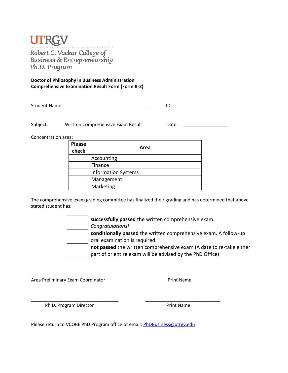### **UIRGV**

Robert C. Vackar College of<br>Business & Entrepreneurship Ph.D. Program

**Doctor of Philosophy in Business Administration Comprehensive Examination Result Form (Form B-2)**

Student Name: \_\_\_\_\_\_\_\_\_\_\_\_\_\_\_\_\_\_\_\_\_\_\_\_\_\_\_\_\_\_\_\_\_\_\_\_ ID: \_\_\_\_\_\_\_\_\_\_\_\_\_\_\_\_\_\_\_\_

Subject: Written Comprehensive Exam Result Date: Date:

Concentration area:

| <b>Please</b><br>check | Area                       |
|------------------------|----------------------------|
|                        | Accounting                 |
|                        | Finance                    |
|                        | <b>Information Systems</b> |
|                        | Management                 |
|                        | Marketing                  |

The comprehensive exam grading committee has finalized their grading and has determined that above stated student has:

> **successfully passed** the written comprehensive exam. *Congratulations!* **conditionally passed** the written comprehensive exam. A follow-up oral examination is required. **not passed** the written comprehensive exam (A date to re-take either part of or entire exam will be advised by the PhD Office)

Area Preliminary Exam Coordinator **Print Name** 

Ph.D. Program Director **Print Name** 

\_\_\_\_\_\_\_\_\_\_\_\_\_\_\_\_\_\_\_\_\_\_\_\_\_\_\_\_\_\_\_\_\_\_ \_\_\_\_\_\_\_\_\_\_\_\_\_\_\_\_\_\_\_\_\_\_\_\_\_\_\_\_\_

Please return to VCOBE PhD Program office or email[: PhDBusiness@utrgv.edu](mailto:PhDBusiness@utrgv.edu)

\_\_\_\_\_\_\_\_\_\_\_\_\_\_\_\_\_\_\_\_\_\_\_\_\_\_\_\_\_\_\_\_\_\_ \_\_\_\_\_\_\_\_\_\_\_\_\_\_\_\_\_\_\_\_\_\_\_\_\_\_\_\_\_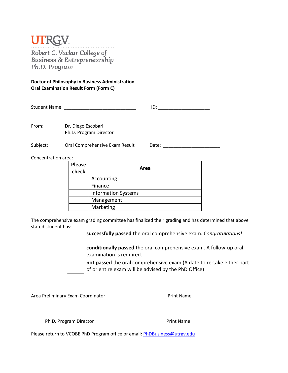Robert C. Vackar College of<br>Business & Entrepreneurship Ph.D. Program

#### **Doctor of Philosophy in Business Administration Oral Examination Result Form (Form C)**

| <b>Student Name:</b> | שו |  |
|----------------------|----|--|
|                      |    |  |

From: Dr. Diego Escobari Ph.D. Program Director

Subject: Oral Comprehensive Exam Result Date: 2006. [19] Date: 2016. [20] Date: 2016. [20] Date: 2016. [20] Date: 2016. [20] Date: 2016. [20] Date: 2016. [20] Date: 2016. [20] Date: 2016. [20] Date: 2016. [20] Date: 2016.

Concentration area:

| <b>Please</b><br>check | Area                       |
|------------------------|----------------------------|
|                        | Accounting                 |
|                        | Finance                    |
|                        | <b>Information Systems</b> |
|                        | Management                 |
|                        | Marketing                  |

The comprehensive exam grading committee has finalized their grading and has determined that above stated student has:

**successfully passed** the oral comprehensive exam. *Congratulations!*

**conditionally passed** the oral comprehensive exam. A follow-up oral examination is required.

**not passed** the oral comprehensive exam (A date to re-take either part of or entire exam will be advised by the PhD Office)

\_\_\_\_\_\_\_\_\_\_\_\_\_\_\_\_\_\_\_\_\_\_\_\_\_\_\_\_\_\_\_\_\_\_ \_\_\_\_\_\_\_\_\_\_\_\_\_\_\_\_\_\_\_\_\_\_\_\_\_\_\_\_\_ Area Preliminary Exam Coordinator **Print Name** 

Ph.D. Program Director **Print Name** 

\_\_\_\_\_\_\_\_\_\_\_\_\_\_\_\_\_\_\_\_\_\_\_\_\_\_\_\_\_\_\_\_\_\_ \_\_\_\_\_\_\_\_\_\_\_\_\_\_\_\_\_\_\_\_\_\_\_\_\_\_\_\_\_

Please return to VCOBE PhD Program office or email[: PhDBusiness@utrgv.edu](mailto:PhDBusiness@utrgv.edu)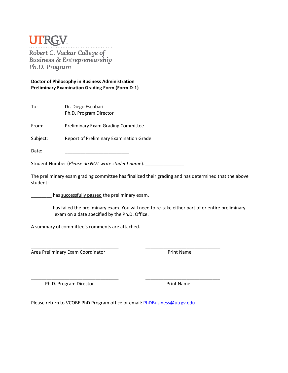### **TRGV**

Robert C. Vackar College of<br>Business & Entrepreneurship Ph.D. Program

**Doctor of Philosophy in Business Administration Preliminary Examination Grading Form (Form D-1)**

| To: | Dr. Diego Escobari     |
|-----|------------------------|
|     | Ph.D. Program Director |
|     |                        |

From: Preliminary Exam Grading Committee

Subject: Report of Preliminary Examination Grade

Date: \_\_\_\_\_\_\_\_\_\_\_\_\_\_\_\_\_\_\_\_\_\_\_\_\_

Student Number (*Please do NOT write student name*): \_\_\_\_\_\_\_\_\_\_\_\_\_\_\_

The preliminary exam grading committee has finalized their grading and has determined that the above student:

**with the state of the state of the preliminary exam.** 

has failed the preliminary exam. You will need to re-take either part of or entire preliminary exam on a date specified by the Ph.D. Office.

\_\_\_\_\_\_\_\_\_\_\_\_\_\_\_\_\_\_\_\_\_\_\_\_\_\_\_\_\_\_\_\_\_\_ \_\_\_\_\_\_\_\_\_\_\_\_\_\_\_\_\_\_\_\_\_\_\_\_\_\_\_\_\_

\_\_\_\_\_\_\_\_\_\_\_\_\_\_\_\_\_\_\_\_\_\_\_\_\_\_\_\_\_\_\_\_\_\_ \_\_\_\_\_\_\_\_\_\_\_\_\_\_\_\_\_\_\_\_\_\_\_\_\_\_\_\_\_

A summary of committee's comments are attached.

Area Preliminary Exam Coordinator **Print Name** 

Ph.D. Program Director **Print Name** 

Please return to VCOBE PhD Program office or email[: PhDBusiness@utrgv.edu](mailto:PhDBusiness@utrgv.edu)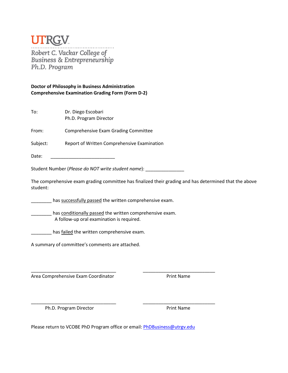### **TRGV** Robert C. Vackar College of<br>Business & Entrepreneurship Ph.D. Program

#### **Doctor of Philosophy in Business Administration Comprehensive Examination Grading Form (Form D-2)**

| To: | Dr. Diego Escobari     |
|-----|------------------------|
|     | Ph.D. Program Director |

From: Comprehensive Exam Grading Committee

Subject: Report of Written Comprehensive Examination

Date: \_\_\_\_\_\_\_\_\_\_\_\_\_\_\_\_\_\_\_\_\_\_\_\_\_

Student Number (*Please do NOT write student name*): \_\_\_\_\_\_\_\_\_\_\_\_\_\_\_

The comprehensive exam grading committee has finalized their grading and has determined that the above student:

has successfully passed the written comprehensive exam.

has conditionally passed the written comprehensive exam. A follow-up oral examination is required.

**with the standard in the written comprehensive exam.** 

A summary of committee's comments are attached.

Area Comprehensive Exam Coordinator **Print Name** 

Ph.D. Program Director **Print Name** 

Please return to VCOBE PhD Program office or email[: PhDBusiness@utrgv.edu](mailto:PhDBusiness@utrgv.edu)

\_\_\_\_\_\_\_\_\_\_\_\_\_\_\_\_\_\_\_\_\_\_\_\_\_\_\_\_\_\_\_\_\_ \_\_\_\_\_\_\_\_\_\_\_\_\_\_\_\_\_\_\_\_\_\_\_\_\_\_\_\_

\_\_\_\_\_\_\_\_\_\_\_\_\_\_\_\_\_\_\_\_\_\_\_\_\_\_\_\_\_\_\_\_\_ \_\_\_\_\_\_\_\_\_\_\_\_\_\_\_\_\_\_\_\_\_\_\_\_\_\_\_\_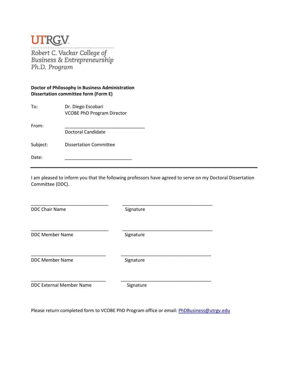Robert C. Vackar College of<br>Business & Entrepreneurship<br>Ph.D. Program

#### **Doctor of Philosophy in Business Administration Dissertation committee form (Form E)**

| To:      | Dr. Diego Escobari<br><b>VCOBE PhD Program Director</b> |
|----------|---------------------------------------------------------|
| From:    |                                                         |
|          | Doctoral Candidate                                      |
| Subject: | <b>Dissertation Committee</b>                           |
| Date:    |                                                         |

I am pleased to inform you that the following professors have agreed to serve on my Doctoral Dissertation Committee (DDC).

DDC Chair Name Signature

\_\_\_\_\_\_\_\_\_\_\_\_\_\_\_\_\_\_\_\_\_\_\_\_\_\_\_\_\_\_ \_\_\_\_\_\_\_\_\_\_\_\_\_\_\_\_\_\_\_\_\_\_\_\_\_\_\_\_\_\_\_\_\_\_\_

\_\_\_\_\_\_\_\_\_\_\_\_\_\_\_\_\_\_\_\_\_\_\_\_\_\_\_\_\_\_ \_\_\_\_\_\_\_\_\_\_\_\_\_\_\_\_\_\_\_\_\_\_\_\_\_\_\_\_\_\_\_\_\_\_\_ DDC Member Name Signature

\_\_\_\_\_\_\_\_\_\_\_\_\_\_\_\_\_\_\_\_\_\_\_\_\_\_\_\_\_ \_\_\_\_\_\_\_\_\_\_\_\_\_\_\_\_\_\_\_\_\_\_\_\_\_\_\_\_\_\_\_\_\_\_\_ DDC Member Name Signature

\_\_\_\_\_\_\_\_\_\_\_\_\_\_\_\_\_\_\_\_\_\_\_\_\_\_\_\_\_ \_\_\_\_\_\_\_\_\_\_\_\_\_\_\_\_\_\_\_\_\_\_\_\_\_\_\_\_\_\_\_\_\_\_\_

DDC External Member Name Signature

Please return completed form to VCOBE PhD Program office or email: [PhDBusiness@utrgv.edu](mailto:PhDBusiness@utrgv.edu)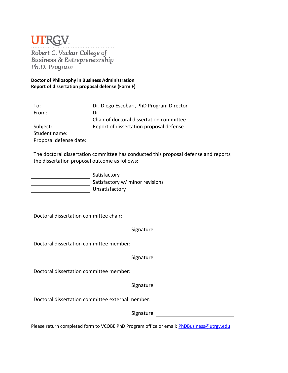Robert C. Vackar College of<br>Business & Entrepreneurship<br>Ph D. Program . . . . . . . . Ph.D. Program

**Doctor of Philosophy in Business Administration Report of dissertation proposal defense (Form F)**

| To:                    | Dr. Diego Escobari, PhD Program Director |
|------------------------|------------------------------------------|
| From:                  | Dr.                                      |
|                        | Chair of doctoral dissertation committee |
| Subject:               | Report of dissertation proposal defense  |
| Student name:          |                                          |
| Proposal defense date: |                                          |

The doctoral dissertation committee has conducted this proposal defense and reports the dissertation proposal outcome as follows:

| Satisfactory                    |
|---------------------------------|
| Satisfactory w/ minor revisions |
| Unsatisfactory                  |

Doctoral dissertation committee chair:

|                                                                                                 | Signature |  |
|-------------------------------------------------------------------------------------------------|-----------|--|
| Doctoral dissertation committee member:                                                         |           |  |
|                                                                                                 | Signature |  |
| Doctoral dissertation committee member:                                                         |           |  |
|                                                                                                 | Signature |  |
| Doctoral dissertation committee external member:                                                |           |  |
|                                                                                                 | Signature |  |
| Please return completed form to VCOBE PhD Program office or email: <b>PhDBusiness@utrgv.edu</b> |           |  |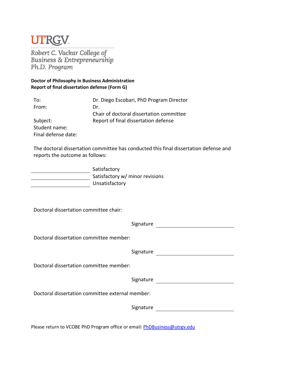Robert C. Vackar College of<br>Business & Entrepreneurship Ph.D. Program

#### **Doctor of Philosophy in Business Administration Report of final dissertation defense (Form G)**

| To:                 | Dr. Diego Escobari, PhD Program Director |
|---------------------|------------------------------------------|
| From:               | Dr.                                      |
|                     | Chair of doctoral dissertation committee |
| Subject:            | Report of final dissertation defense     |
| Student name:       |                                          |
| Final defense date: |                                          |

The doctoral dissertation committee has conducted this final dissertation defense and reports the outcome as follows:

Satisfactory **Satisfactory w/ minor revisions Unsatisfactory** 

Doctoral dissertation committee chair:

| Signature                                        |  |  |
|--------------------------------------------------|--|--|
| Doctoral dissertation committee member:          |  |  |
| Signature                                        |  |  |
| Doctoral dissertation committee member:          |  |  |
| Signature                                        |  |  |
| Doctoral dissertation committee external member: |  |  |
| Signature                                        |  |  |
|                                                  |  |  |

Please return to VCOBE PhD Program office or email[: PhDBusiness@utrgv.edu](mailto:PhDBusiness@utrgv.edu)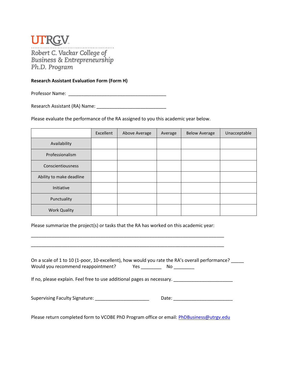

#### **Research Assistant Evaluation Form (Form H)**

Professor Name: **Example 20** 

Research Assistant (RA) Name: \_\_\_\_\_\_\_\_\_\_\_\_\_\_\_\_\_\_\_\_\_\_\_\_\_\_\_

Please evaluate the performance of the RA assigned to you this academic year below.

|                          | Excellent | Above Average | Average | <b>Below Average</b> | Unacceptable |
|--------------------------|-----------|---------------|---------|----------------------|--------------|
| Availability             |           |               |         |                      |              |
| Professionalism          |           |               |         |                      |              |
| Conscientiousness        |           |               |         |                      |              |
| Ability to make deadline |           |               |         |                      |              |
| Initiative               |           |               |         |                      |              |
| Punctuality              |           |               |         |                      |              |
| <b>Work Quality</b>      |           |               |         |                      |              |

Please summarize the project(s) or tasks that the RA has worked on this academic year:

\_\_\_\_\_\_\_\_\_\_\_\_\_\_\_\_\_\_\_\_\_\_\_\_\_\_\_\_\_\_\_\_\_\_\_\_\_\_\_\_\_\_\_\_\_\_\_\_\_\_\_\_\_\_\_\_\_\_\_\_\_\_\_\_\_\_\_\_\_\_\_\_\_\_\_

\_\_\_\_\_\_\_\_\_\_\_\_\_\_\_\_\_\_\_\_\_\_\_\_\_\_\_\_\_\_\_\_\_\_\_\_\_\_\_\_\_\_\_\_\_\_\_\_\_\_\_\_\_\_\_\_\_\_\_\_\_\_\_\_\_\_\_\_\_\_\_\_\_\_\_

| Would you recommend reappointment?                                                                            | On a scale of 1 to 10 (1-poor, 10-excellent), how would you rate the RA's overall performance?<br>No _________                                                                                                                 |
|---------------------------------------------------------------------------------------------------------------|--------------------------------------------------------------------------------------------------------------------------------------------------------------------------------------------------------------------------------|
| If no, please explain. Feel free to use additional pages as necessary.                                        |                                                                                                                                                                                                                                |
| Supervising Faculty Signature: Management of the Supervision of Supervision of Supervision of the Supervision | Date: the control of the control of the control of the control of the control of the control of the control of the control of the control of the control of the control of the control of the control of the control of the co |

Please return completed form to VCOBE PhD Program office or email: [PhDBusiness@utrgv.edu](mailto:PhDBusiness@utrgv.edu)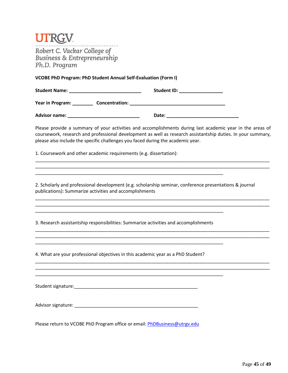| Robert C. Vackar College of<br><b>Business &amp; Entrepreneurship</b><br>Ph.D. Program |                                                                                                                                                                                                                                                                                                              |
|----------------------------------------------------------------------------------------|--------------------------------------------------------------------------------------------------------------------------------------------------------------------------------------------------------------------------------------------------------------------------------------------------------------|
|                                                                                        | <b>VCOBE PhD Program: PhD Student Annual Self-Evaluation (Form I)</b>                                                                                                                                                                                                                                        |
|                                                                                        | Student ID: __________________                                                                                                                                                                                                                                                                               |
|                                                                                        | Year in Program: _______________Concentration: __________________________________                                                                                                                                                                                                                            |
|                                                                                        |                                                                                                                                                                                                                                                                                                              |
|                                                                                        | Please provide a summary of your activities and accomplishments during last academic year in the areas of<br>coursework, research and professional development as well as research assistantship duties. In your summary,<br>please also include the specific challenges you faced during the academic year. |
|                                                                                        | 1. Coursework and other academic requirements (e.g. dissertation):                                                                                                                                                                                                                                           |
| publications): Summarize activities and accomplishments                                | 2. Scholarly and professional development (e.g. scholarship seminar, conference presentations & journal                                                                                                                                                                                                      |
|                                                                                        | 3. Research assistantship responsibilities: Summarize activities and accomplishments                                                                                                                                                                                                                         |
|                                                                                        | 4. What are your professional objectives in this academic year as a PhD Student?                                                                                                                                                                                                                             |
|                                                                                        | <u> 1989 - Andrea Santa Andrea Andrea Andrea Andrea Andrea Andrea Andrea Andrea Andrea Andrea Andrea Andrea Andr</u>                                                                                                                                                                                         |
|                                                                                        |                                                                                                                                                                                                                                                                                                              |
|                                                                                        | Please return to VCOBE PhD Program office or email: PhDBusiness@utrgv.edu                                                                                                                                                                                                                                    |

Page **45** of **49**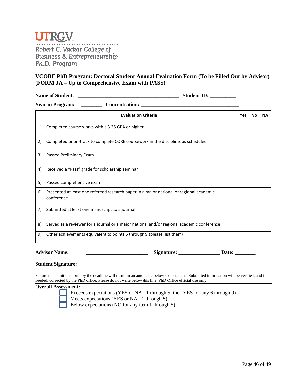

Robert C. Vackar College of **Business & Entrepreneurship** Ph.D. Program

#### **VCOBE PhD Program: Doctoral Student Annual Evaluation Form (To be Filled Out by Advisor) (FORM JA – Up to Comprehensive Exam with PASS)**

| <b>Name of Student:</b> | <b>Student ID:</b> |
|-------------------------|--------------------|
|-------------------------|--------------------|

|    | <b>Year in Program:</b><br><b>Concentration:</b>                                                      |            |    |           |
|----|-------------------------------------------------------------------------------------------------------|------------|----|-----------|
|    | <b>Evaluation Criteria</b>                                                                            | <b>Yes</b> | No | <b>NA</b> |
| 1) | Completed course works with a 3.25 GPA or higher                                                      |            |    |           |
| 2) | Completed or on-track to complete CORE coursework in the discipline, as scheduled                     |            |    |           |
| 3) | Passed Preliminary Exam                                                                               |            |    |           |
| 4) | Received a "Pass" grade for scholarship seminar                                                       |            |    |           |
| 5) | Passed comprehensive exam                                                                             |            |    |           |
| 6) | Presented at least one refereed research paper in a major national or regional academic<br>conference |            |    |           |
| 7) | Submitted at least one manuscript to a journal                                                        |            |    |           |
| 8) | Served as a reviewer for a journal or a major national and/or regional academic conference            |            |    |           |
| 9) | Other achievements equivalent to points 6 through 9 (please, list them)                               |            |    |           |

**Advisor Name: \_\_\_\_\_\_\_\_\_\_\_\_\_\_\_\_\_\_\_\_\_\_\_\_ Signature: \_\_\_\_\_\_\_\_\_\_\_\_\_\_\_\_ Date: \_\_\_\_\_\_\_\_**

| <b>Student Signature:</b> |  |
|---------------------------|--|
|                           |  |

Failure to submit this form by the deadline will result in an automatic below expectations. Submitted information will be verified, and if needed, corrected by the PhD office. Please do not write below this line. PhD Office official use only.

**Overall Assessment:** 

Exceeds expectations (YES or NA - 1 through 5; then YES for any 6 through 9) Meets expectations (YES or NA - 1 through 5) Below expectations (NO for any item 1 through 5)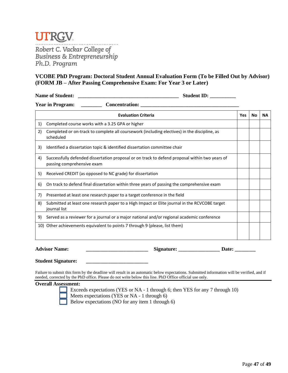

Robert C. Vackar College of **Business & Entrepreneurship** Ph.D. Program

#### **VCOBE PhD Program: Doctoral Student Annual Evaluation Form (To be Filled Out by Advisor) (FORM JB – After Passing Comprehensive Exam: For Year 3 or Later)**

**Name of Student: \_\_\_\_\_\_\_\_\_\_\_\_\_\_\_\_\_\_\_\_\_\_\_\_\_\_\_\_\_\_\_\_\_\_\_\_\_\_\_ Student ID: \_\_\_\_\_\_\_\_\_\_** 

**Year in Program: \_\_\_\_\_\_\_\_ Concentration: \_\_\_\_\_\_\_\_\_\_\_\_\_\_\_\_\_\_\_\_\_\_\_\_\_\_\_\_\_\_\_\_\_\_\_\_\_\_** 

|    | <b>Evaluation Criteria</b>                                                                                                   | <b>Yes</b> | <b>No</b> | <b>NA</b> |
|----|------------------------------------------------------------------------------------------------------------------------------|------------|-----------|-----------|
| 1) | Completed course works with a 3.25 GPA or higher                                                                             |            |           |           |
| 2) | Completed or on-track to complete all coursework (including electives) in the discipline, as<br>scheduled                    |            |           |           |
| 3) | Identified a dissertation topic & identified dissertation committee chair                                                    |            |           |           |
| 4) | Successfully defended dissertation proposal or on track to defend proposal within two years of<br>passing comprehensive exam |            |           |           |
| 5) | Received CREDIT (as opposed to NC grade) for dissertation                                                                    |            |           |           |
| 6) | On track to defend final dissertation within three years of passing the comprehensive exam                                   |            |           |           |
| 7) | Presented at least one research paper to a target conference in the field                                                    |            |           |           |
| 8) | Submitted at least one research paper to a High Impact or Elite journal in the RCVCOBE target<br>journal list                |            |           |           |
| 9) | Served as a reviewer for a journal or a major national and/or regional academic conference                                   |            |           |           |
|    | 10) Other achievements equivalent to points 7 through 9 (please, list them)                                                  |            |           |           |
|    |                                                                                                                              |            |           |           |

**Advisor Name: \_\_\_\_\_\_\_\_\_\_\_\_\_\_\_\_\_\_\_\_\_\_\_\_ Signature: \_\_\_\_\_\_\_\_\_\_\_\_\_\_\_\_ Date: \_\_\_\_\_\_\_\_**

**Student Signature: \_\_\_\_\_\_\_\_\_\_\_\_\_\_\_\_\_\_\_\_\_\_\_\_**

Failure to submit this form by the deadline will result in an automatic below expectations. Submitted information will be verified, and if needed, corrected by the PhD office. Please do not write below this line. PhD Office official use only.

#### **Overall Assessment:**

Exceeds expectations (YES or NA - 1 through 6; then YES for any 7 through 10) Meets expectations (YES or NA - 1 through 6) Below expectations (NO for any item 1 through 6)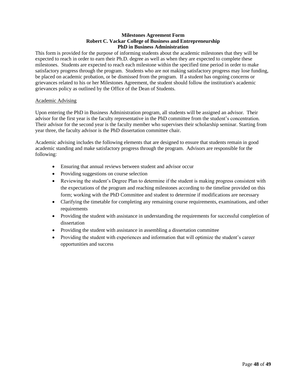#### **Milestones Agreement Form Robert C. Vackar College of Business and Entrepreneurship PhD in Business Administration**

This form is provided for the purpose of informing students about the academic milestones that they will be expected to reach in order to earn their Ph.D. degree as well as when they are expected to complete these milestones. Students are expected to reach each milestone within the specified time period in order to make satisfactory progress through the program. Students who are not making satisfactory progress may lose funding, be placed on academic probation, or be dismissed from the program. If a student has ongoing concerns or grievances related to his or her Milestones Agreement, the student should follow the institution's academic grievances policy as outlined by the Office of the Dean of Students.

#### Academic Advising

Upon entering the PhD in Business Administration program, all students will be assigned an advisor. Their advisor for the first year is the faculty representative in the PhD committee from the student's concentration. Their advisor for the second year is the faculty member who supervises their scholarship seminar. Starting from year three, the faculty advisor is the PhD dissertation committee chair.

Academic advising includes the following elements that are designed to ensure that students remain in good academic standing and make satisfactory progress through the program. Advisors are responsible for the following:

- Ensuring that annual reviews between student and advisor occur
- Providing suggestions on course selection
- Reviewing the student's Degree Plan to determine if the student is making progress consistent with the expectations of the program and reaching milestones according to the timeline provided on this form; working with the PhD Committee and student to determine if modifications are necessary
- Clarifying the timetable for completing any remaining course requirements, examinations, and other requirements
- Providing the student with assistance in understanding the requirements for successful completion of dissertation
- Providing the student with assistance in assembling a dissertation committee
- Providing the student with experiences and information that will optimize the student's career opportunities and success